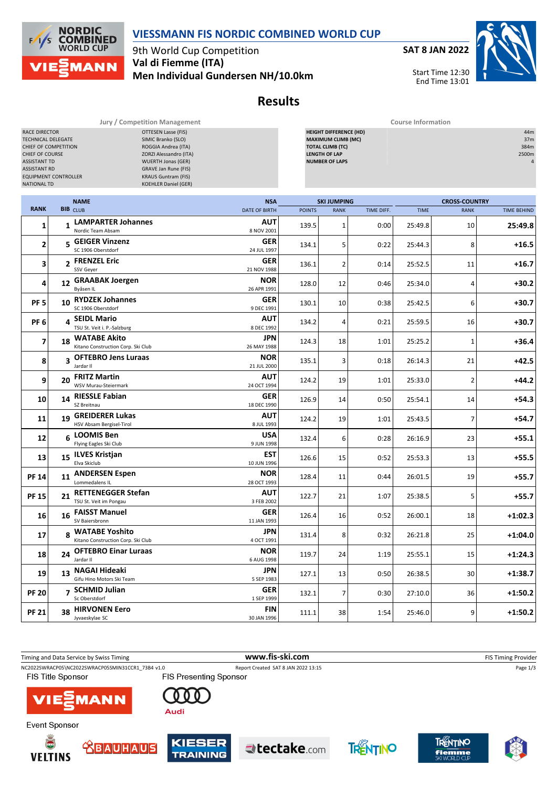

**COMBINED** 9th World Cup Competition **Val di Fiemme (ITA) MANN Men Individual Gundersen NH/10.0km**

**NORDIC** 

**WORLD CUP** 

 $F/1/s$ 

**SAT 8 JAN 2022**



End Time 13:01

## **Results**

**Jury / Competition Management Course Information**

| RACE DIRECTOR<br>OTTESEN Lasse (FIS)<br>TECHNICAL DELEGATE<br>SIMIC Branko (SLO)<br>CHIEF OF COMPETITION<br>ROGGIA Andrea (ITA)<br>ZORZI Alessandro (ITA)<br>CHIEF OF COURSE<br><b>ASSISTANT TD</b><br><b>WUERTH Jonas (GER)</b><br><b>ASSISTANT RD</b><br><b>GRAVE Jan Rune (FIS)</b><br><b>KRAUS Guntram (FIS)</b><br><b>EQUIPMENT CONTROLLER</b><br><b>KOEHLER Daniel (GER)</b><br><b>NATIONAL TD</b> |    |                                                        |  |                             | <b>HEIGHT DIFFERENCE (HD)</b><br><b>MAXIMUM CLIMB (MC)</b><br><b>TOTAL CLIMB (TC)</b><br><b>LENGTH OF LAP</b><br><b>NUMBER OF LAPS</b> |                    |            |             |                         | 44m<br>37m<br>384m<br>2500m |
|----------------------------------------------------------------------------------------------------------------------------------------------------------------------------------------------------------------------------------------------------------------------------------------------------------------------------------------------------------------------------------------------------------|----|--------------------------------------------------------|--|-----------------------------|----------------------------------------------------------------------------------------------------------------------------------------|--------------------|------------|-------------|-------------------------|-----------------------------|
| <b>RANK</b>                                                                                                                                                                                                                                                                                                                                                                                              |    | <b>NAME</b>                                            |  | <b>NSA</b>                  |                                                                                                                                        | <b>SKI JUMPING</b> |            |             | <b>CROSS-COUNTRY</b>    |                             |
|                                                                                                                                                                                                                                                                                                                                                                                                          |    | BIB CLUB                                               |  | <b>DATE OF BIRTH</b><br>AUT | <b>POINTS</b>                                                                                                                          | <b>RANK</b>        | TIME DIFF. | <b>TIME</b> | <b>RANK</b>             | TIME BEHIND                 |
| 1                                                                                                                                                                                                                                                                                                                                                                                                        |    | 1 LAMPARTER Johannes<br>Nordic Team Absam              |  | 8 NOV 2001                  | 139.5                                                                                                                                  | $\mathbf 1$        | 0:00       | 25:49.8     | 10                      | 25:49.8                     |
| 2                                                                                                                                                                                                                                                                                                                                                                                                        |    | 5 GEIGER Vinzenz<br>SC 1906 Oberstdorf                 |  | <b>GER</b><br>24 JUL 1997   | 134.1                                                                                                                                  | 5                  | 0:22       | 25:44.3     | 8                       | $+16.5$                     |
| 3                                                                                                                                                                                                                                                                                                                                                                                                        |    | 2 FRENZEL Eric<br>SSV Geyer                            |  | <b>GER</b><br>21 NOV 1988   | 136.1                                                                                                                                  | $\overline{2}$     | 0:14       | 25:52.5     | 11                      | $+16.7$                     |
| 4                                                                                                                                                                                                                                                                                                                                                                                                        |    | 12 GRAABAK Joergen<br>Byåsen IL                        |  | <b>NOR</b><br>26 APR 1991   | 128.0                                                                                                                                  | 12                 | 0:46       | 25:34.0     | 4                       | $+30.2$                     |
| <b>PF 5</b>                                                                                                                                                                                                                                                                                                                                                                                              |    | 10 RYDZEK Johannes<br>SC 1906 Oberstdorf               |  | <b>GER</b><br>9 DEC 1991    | 130.1                                                                                                                                  | 10                 | 0:38       | 25:42.5     | 6                       | $+30.7$                     |
| PF <sub>6</sub>                                                                                                                                                                                                                                                                                                                                                                                          |    | 4 SEIDL Mario<br>TSU St. Veit i. P.-Salzburg           |  | <b>AUT</b><br>8 DEC 1992    | 134.2                                                                                                                                  | 4                  | 0:21       | 25:59.5     | 16                      | +30.7                       |
| 7                                                                                                                                                                                                                                                                                                                                                                                                        |    | 18 WATABE Akito<br>Kitano Construction Corp. Ski Club  |  | JPN<br>26 MAY 1988          | 124.3                                                                                                                                  | 18                 | 1:01       | 25:25.2     | 1                       | $+36.4$                     |
| 8                                                                                                                                                                                                                                                                                                                                                                                                        |    | 3 OFTEBRO Jens Luraas<br>Jardar II                     |  | <b>NOR</b><br>21 JUL 2000   | 135.1                                                                                                                                  | 3                  | 0:18       | 26:14.3     | 21                      | $+42.5$                     |
| 9                                                                                                                                                                                                                                                                                                                                                                                                        |    | 20 FRITZ Martin<br>WSV Murau-Steiermark                |  | <b>AUT</b><br>24 OCT 1994   | 124.2                                                                                                                                  | 19                 | 1:01       | 25:33.0     | $\overline{\mathbf{c}}$ | $+44.2$                     |
| 10                                                                                                                                                                                                                                                                                                                                                                                                       |    | 14 RIESSLE Fabian<br>SZ Breitnau                       |  | <b>GER</b><br>18 DEC 1990   | 126.9                                                                                                                                  | 14                 | 0:50       | 25:54.1     | 14                      | $+54.3$                     |
| 11                                                                                                                                                                                                                                                                                                                                                                                                       | 19 | <b>GREIDERER Lukas</b><br>HSV Absam Bergisel-Tirol     |  | AUT<br>8 JUL 1993           | 124.2                                                                                                                                  | 19                 | 1:01       | 25:43.5     | 7                       | $+54.7$                     |
| 12                                                                                                                                                                                                                                                                                                                                                                                                       |    | 6 LOOMIS Ben<br>Flying Eagles Ski Club                 |  | USA<br>9 JUN 1998           | 132.4                                                                                                                                  | 6                  | 0:28       | 26:16.9     | 23                      | $+55.1$                     |
| 13                                                                                                                                                                                                                                                                                                                                                                                                       |    | 15 ILVES Kristjan<br>Elva Skiclub                      |  | EST<br>10 JUN 1996          | 126.6                                                                                                                                  | 15                 | 0:52       | 25:53.3     | 13                      | $+55.5$                     |
| <b>PF 14</b>                                                                                                                                                                                                                                                                                                                                                                                             |    | 11 ANDERSEN Espen<br>Lommedalens IL                    |  | <b>NOR</b><br>28 OCT 1993   | 128.4                                                                                                                                  | 11                 | 0:44       | 26:01.5     | 19                      | $+55.7$                     |
| <b>PF 15</b>                                                                                                                                                                                                                                                                                                                                                                                             |    | 21 RETTENEGGER Stefan<br>TSU St. Veit im Pongau        |  | AUT<br>3 FEB 2002           | 122.7                                                                                                                                  | 21                 | 1:07       | 25:38.5     | 5                       | $+55.7$                     |
| 16                                                                                                                                                                                                                                                                                                                                                                                                       |    | 16 FAISST Manuel<br>SV Baiersbronn                     |  | <b>GER</b><br>11 JAN 1993   | 126.4                                                                                                                                  | 16                 | 0:52       | 26:00.1     | 18                      | $+1:02.3$                   |
| 17                                                                                                                                                                                                                                                                                                                                                                                                       |    | 8 WATABE Yoshito<br>Kitano Construction Corp. Ski Club |  | JPN<br>4 OCT 1991           | 131.4                                                                                                                                  | 8                  | 0:32       | 26:21.8     | 25                      | $+1:04.0$                   |
| 18                                                                                                                                                                                                                                                                                                                                                                                                       |    | 24 OFTEBRO Einar Luraas<br>Jardar II                   |  | <b>NOR</b><br>6 AUG 1998    | 119.7                                                                                                                                  | 24                 | 1:19       | 25:55.1     | 15                      | $+1:24.3$                   |
| 19                                                                                                                                                                                                                                                                                                                                                                                                       |    | 13 NAGAI Hideaki<br>Gifu Hino Motors Ski Team          |  | JPN<br>5 SEP 1983           | 127.1                                                                                                                                  | 13                 | 0:50       | 26:38.5     | 30                      | $+1:38.7$                   |
| <b>PF 20</b>                                                                                                                                                                                                                                                                                                                                                                                             |    | 7 SCHMID Julian<br>Sc Oberstdorf                       |  | <b>GER</b><br>1 SEP 1999    | 132.1                                                                                                                                  | $\overline{7}$     | 0:30       | 27:10.0     | 36                      | $+1:50.2$                   |
| <b>PF 21</b>                                                                                                                                                                                                                                                                                                                                                                                             | 38 | <b>HIRVONEN Eero</b><br>Jyvaeskylae SC                 |  | FIN<br>30 JAN 1996          | 111.1                                                                                                                                  | 38                 | 1:54       | 25:46.0     | 9                       | $+1:50.2$                   |













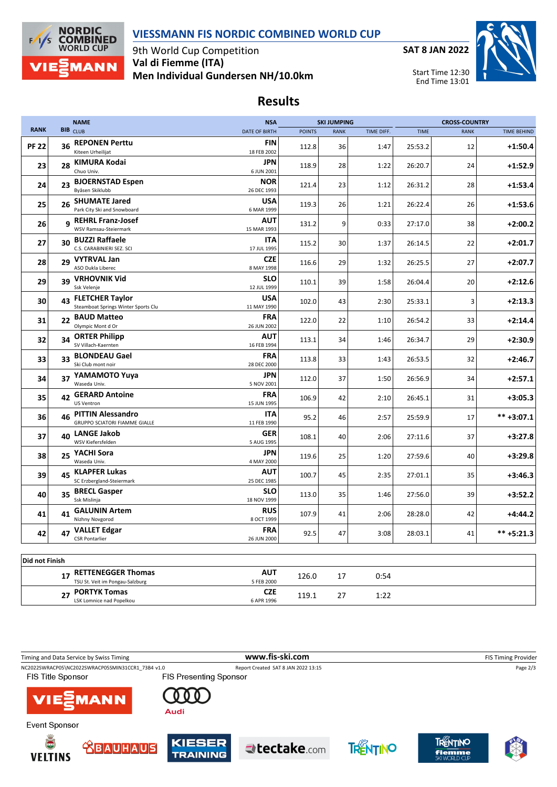



9th World Cup Competition **Val di Fiemme (ITA) Men Individual Gundersen NH/10.0km** **SAT 8 JAN 2022**



Start Time 12:30 End Time 13:01

## **Results**

|                |    | <b>NAME</b>                                                      | <b>NSA</b>                |               | <b>SKI JUMPING</b> |            |             | <b>CROSS-COUNTRY</b> |                    |
|----------------|----|------------------------------------------------------------------|---------------------------|---------------|--------------------|------------|-------------|----------------------|--------------------|
| <b>RANK</b>    |    | <b>BIB</b> CLUB                                                  | <b>DATE OF BIRTH</b>      | <b>POINTS</b> | <b>RANK</b>        | TIME DIFF. | <b>TIME</b> | <b>RANK</b>          | <b>TIME BEHIND</b> |
| <b>PF 22</b>   | 36 | <b>REPONEN Perttu</b><br>Kiteen Urheilijat                       | FIN<br>18 FEB 2002        | 112.8         | 36                 | 1:47       | 25:53.2     | 12                   | $+1:50.4$          |
| 23             |    | 28 KIMURA Kodai<br>Chuo Univ.                                    | <b>JPN</b><br>6 JUN 2001  | 118.9         | 28                 | 1:22       | 26:20.7     | 24                   | $+1:52.9$          |
| 24             | 23 | <b>BJOERNSTAD Espen</b><br>Byåsen Skiklubb                       | <b>NOR</b><br>26 DEC 1993 | 121.4         | 23                 | 1:12       | 26:31.2     | 28                   | $+1:53.4$          |
| 25             |    | 26 SHUMATE Jared<br>Park City Ski and Snowboard                  | <b>USA</b><br>6 MAR 1999  | 119.3         | 26                 | 1:21       | 26:22.4     | 26                   | $+1:53.6$          |
| 26             | q  | <b>REHRL Franz-Josef</b><br>WSV Ramsau-Steiermark                | AUT<br>15 MAR 1993        | 131.2         | 9                  | 0:33       | 27:17.0     | 38                   | $+2:00.2$          |
| 27             | 30 | <b>BUZZI Raffaele</b><br>C.S. CARABINIERI SEZ. SCI               | <b>ITA</b><br>17 JUL 1995 | 115.2         | 30                 | 1:37       | 26:14.5     | 22                   | $+2:01.7$          |
| 28             | 29 | <b>VYTRVAL Jan</b><br>ASO Dukla Liberec                          | <b>CZE</b><br>8 MAY 1998  | 116.6         | 29                 | 1:32       | 26:25.5     | 27                   | $+2:07.7$          |
| 29             | 39 | <b>VRHOVNIK Vid</b><br>Ssk Velenje                               | <b>SLO</b><br>12 JUL 1999 | 110.1         | 39                 | 1:58       | 26:04.4     | 20                   | $+2:12.6$          |
| 30             | 43 | <b>FLETCHER Taylor</b><br>Steamboat Springs Winter Sports Clu    | <b>USA</b><br>11 MAY 1990 | 102.0         | 43                 | 2:30       | 25:33.1     | 3                    | $+2:13.3$          |
| 31             | 22 | <b>BAUD Matteo</b><br>Olympic Mont d Or                          | <b>FRA</b><br>26 JUN 2002 | 122.0         | 22                 | 1:10       | 26:54.2     | 33                   | $+2:14.4$          |
| 32             | 34 | <b>ORTER Philipp</b><br>SV Villach-Kaernten                      | <b>AUT</b><br>16 FEB 1994 | 113.1         | 34                 | 1:46       | 26:34.7     | 29                   | $+2:30.9$          |
| 33             | 33 | <b>BLONDEAU Gael</b><br>Ski Club mont noir                       | <b>FRA</b><br>28 DEC 2000 | 113.8         | 33                 | 1:43       | 26:53.5     | 32                   | $+2:46.7$          |
| 34             | 37 | YAMAMOTO Yuya<br>Waseda Univ.                                    | JPN<br>5 NOV 2001         | 112.0         | 37                 | 1:50       | 26:56.9     | 34                   | $+2:57.1$          |
| 35             |    | 42 GERARD Antoine<br><b>US Ventron</b>                           | FRA<br>15 JUN 1995        | 106.9         | 42                 | 2:10       | 26:45.1     | 31                   | $+3:05.3$          |
| 36             | 46 | <b>PITTIN Alessandro</b><br><b>GRUPPO SCIATORI FIAMME GIALLE</b> | <b>ITA</b><br>11 FEB 1990 | 95.2          | 46                 | 2:57       | 25:59.9     | 17                   | $*** +3:07.1$      |
| 37             | 40 | <b>LANGE Jakob</b><br>WSV Kiefersfelden                          | <b>GER</b><br>5 AUG 1995  | 108.1         | 40                 | 2:06       | 27:11.6     | 37                   | $+3:27.8$          |
| 38             | 25 | YACHI Sora<br>Waseda Univ.                                       | JPN<br>4 MAY 2000         | 119.6         | 25                 | 1:20       | 27:59.6     | 40                   | $+3:29.8$          |
| 39             |    | 45 KLAPFER Lukas<br>SC Erzbergland-Steiermark                    | AUT<br>25 DEC 1985        | 100.7         | 45                 | 2:35       | 27:01.1     | 35                   | $+3:46.3$          |
| 40             |    | 35 BRECL Gasper<br>Ssk Mislinja                                  | SLO<br>18 NOV 1999        | 113.0         | 35                 | 1:46       | 27:56.0     | 39                   | $+3:52.2$          |
| 41             | 41 | <b>GALUNIN Artem</b><br>Nizhny Novgorod                          | <b>RUS</b><br>8 OCT 1999  | 107.9         | 41                 | 2:06       | 28:28.0     | 42                   | $+4:44.2$          |
| 42             |    | 47 VALLET Edgar<br><b>CSR Pontarlier</b>                         | <b>FRA</b><br>26 JUN 2000 | 92.5          | 47                 | 3:08       | 28:03.1     | 41                   | $*** +5:21.3$      |
|                |    |                                                                  |                           |               |                    |            |             |                      |                    |
| Did not Finish |    | 17 RETTENEGGER Thomas<br>TSU St. Veit im Pongau-Salzburg         | <b>AUT</b><br>5 FEB 2000  | 126.0         | 17                 | 0:54       |             |                      |                    |

| Timing and Data Service by Swiss Timing                                       |                                  | www.fis-ski.com                     |          | <b>FIS Timing Provider</b>          |          |  |
|-------------------------------------------------------------------------------|----------------------------------|-------------------------------------|----------|-------------------------------------|----------|--|
| NC2022SWRACP05\NC2022SWRACP05SMIN31CCR1 73B4 v1.0<br><b>FIS Title Sponsor</b> | <b>FIS Presenting Sponsor</b>    | Report Created SAT 8 JAN 2022 13:15 |          |                                     | Page 2/3 |  |
| <b>VIE EMANN</b>                                                              | Audi                             |                                     |          |                                     |          |  |
| Event Sponsor                                                                 |                                  |                                     |          |                                     |          |  |
| Ŏ<br><b>TEAUHAUS</b><br><b>VELTINS</b>                                        | <b>KIESER</b><br><b>TRAINING</b> | $\blacktriangle$ tectake.com        | TRENTINO | TRENTINO<br>fiemme<br>SKI WORLD CUP |          |  |

**PORTYK Tomas CZE 119.1** 27 **1:22**<br> **CZE 119.1** 27 **1:22**